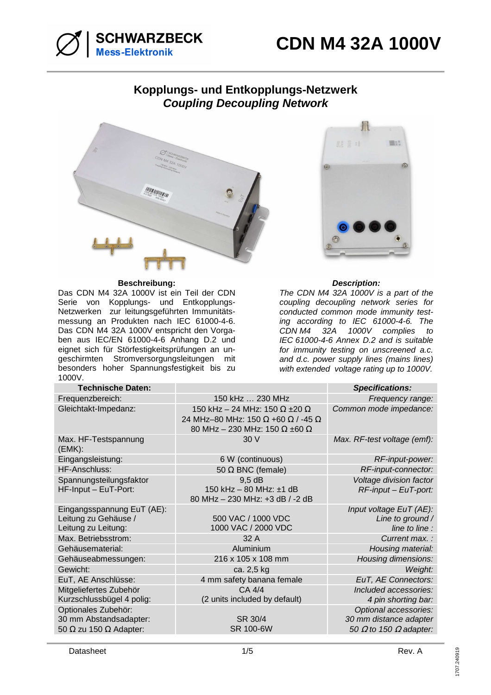

# **Kopplungs- und Entkopplungs-Netzwerk Coupling Decoupling Network**



# **Beschreibung: Description:**

Das CDN M4 32A 1000V ist ein Teil der CDN Serie von Kopplungs- und Entkopplungs-Netzwerken zur leitungsgeführten Immunitätsmessung an Produkten nach IEC 61000-4-6. Das CDN M4 32A 1000V entspricht den Vorgaben aus IEC/EN 61000-4-6 Anhang D.2 und eignet sich für Störfestigkeitsprüfungen an ungeschirmten Stromversorgungsleitungen mit besonders hoher Spannungsfestigkeit bis zu 1000V.



The CDN M4 32A 1000V is a part of the coupling decoupling network series for conducted common mode immunity testing according to IEC 61000-4-6. The CDN M4 32A 1000V complies to IEC 61000-4-6 Annex D.2 and is suitable for immunity testing on unscreened a.c. and d.c. power supply lines (mains lines) with extended voltage rating up to 1000V.

| <b>Technische Daten:</b>                                                              |                                                                                                                                  | <b>Specifications:</b>                                                                  |
|---------------------------------------------------------------------------------------|----------------------------------------------------------------------------------------------------------------------------------|-----------------------------------------------------------------------------------------|
| Frequenzbereich:                                                                      | 150 kHz  230 MHz                                                                                                                 | Frequency range:                                                                        |
| Gleichtakt-Impedanz:                                                                  | 150 kHz - 24 MHz: 150 $\Omega$ ±20 $\Omega$<br>24 MHz-80 MHz: 150 Ω +60 Ω / -45 Ω<br>80 MHz - 230 MHz: 150 $\Omega$ ±60 $\Omega$ | Common mode impedance:                                                                  |
| Max. HF-Testspannung<br>(EMK):                                                        | 30 V                                                                                                                             | Max. RF-test voltage (emf):                                                             |
| Eingangsleistung:                                                                     | 6 W (continuous)                                                                                                                 | RF-input-power:                                                                         |
| HF-Anschluss:                                                                         | 50 $\Omega$ BNC (female)                                                                                                         | RF-input-connector:                                                                     |
| Spannungsteilungsfaktor<br>HF-Input - EuT-Port:                                       | 9.5 dB<br>150 kHz - 80 MHz: ±1 dB<br>80 MHz - 230 MHz: +3 dB / -2 dB                                                             | Voltage division factor<br>$RF$ -input – EuT-port:                                      |
| Eingangsspannung EuT (AE):<br>Leitung zu Gehäuse /<br>Leitung zu Leitung:             | 500 VAC / 1000 VDC<br>1000 VAC / 2000 VDC                                                                                        | Input voltage EuT (AE):<br>Line to ground /<br>line to line :                           |
| Max. Betriebsstrom:                                                                   | 32 A                                                                                                                             | Current max.:                                                                           |
| Gehäusematerial:                                                                      | Aluminium                                                                                                                        | Housing material:                                                                       |
| Gehäuseabmessungen:                                                                   | 216 x 105 x 108 mm                                                                                                               | Housing dimensions:                                                                     |
| Gewicht:                                                                              | ca. 2,5 kg                                                                                                                       | Weight:                                                                                 |
| EuT, AE Anschlüsse:                                                                   | 4 mm safety banana female                                                                                                        | EuT, AE Connectors:                                                                     |
| Mitgeliefertes Zubehör<br>Kurzschlussbügel 4 polig:                                   | CA 4/4<br>(2 units included by default)                                                                                          | Included accessories:<br>4 pin shorting bar:                                            |
| Optionales Zubehör:<br>30 mm Abstandsadapter:<br>50 $\Omega$ zu 150 $\Omega$ Adapter: | SR 30/4<br>SR 100-6W                                                                                                             | Optional accessories:<br>30 mm distance adapter<br>50 $\Omega$ to 150 $\Omega$ adapter: |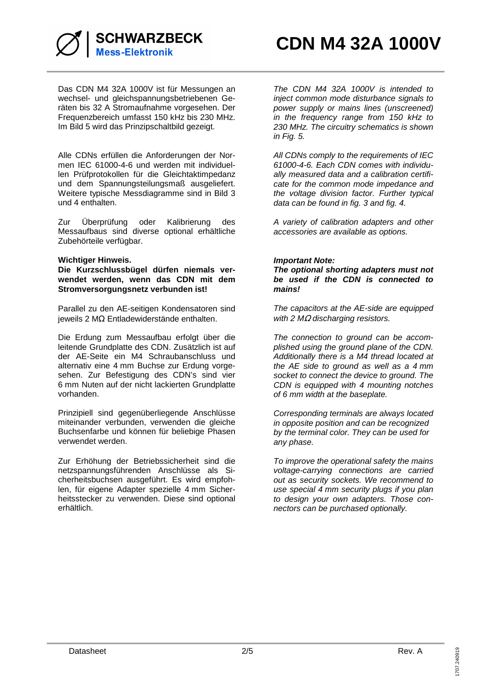

Das CDN M4 32A 1000V ist für Messungen an wechsel- und gleichspannungsbetriebenen Geräten bis 32 A Stromaufnahme vorgesehen. Der Frequenzbereich umfasst 150 kHz bis 230 MHz. Im Bild 5 wird das Prinzipschaltbild gezeigt.

Alle CDNs erfüllen die Anforderungen der Normen IEC 61000-4-6 und werden mit individuellen Prüfprotokollen für die Gleichtaktimpedanz und dem Spannungsteilungsmaß ausgeliefert. Weitere typische Messdiagramme sind in Bild 3 und 4 enthalten.

Zur Überprüfung oder Kalibrierung des Messaufbaus sind diverse optional erhältliche Zubehörteile verfügbar.

## **Wichtiger Hinweis.**

**Die Kurzschlussbügel dürfen niemals verwendet werden, wenn das CDN mit dem Stromversorgungsnetz verbunden ist!** 

Parallel zu den AE-seitigen Kondensatoren sind jeweils 2 MΩ Entladewiderstände enthalten.

Die Erdung zum Messaufbau erfolgt über die leitende Grundplatte des CDN. Zusätzlich ist auf der AE-Seite ein M4 Schraubanschluss und alternativ eine 4 mm Buchse zur Erdung vorgesehen. Zur Befestigung des CDN's sind vier 6 mm Nuten auf der nicht lackierten Grundplatte vorhanden.

Prinzipiell sind gegenüberliegende Anschlüsse miteinander verbunden, verwenden die gleiche Buchsenfarbe und können für beliebige Phasen verwendet werden.

Zur Erhöhung der Betriebssicherheit sind die netzspannungsführenden Anschlüsse als Sicherheitsbuchsen ausgeführt. Es wird empfohlen, für eigene Adapter spezielle 4 mm Sicherheitsstecker zu verwenden. Diese sind optional erhältlich.

The CDN M4 32A 1000V is intended to inject common mode disturbance signals to power supply or mains lines (unscreened) in the frequency range from 150 kHz to 230 MHz. The circuitry schematics is shown in Fig. 5.

All CDNs comply to the requirements of IEC 61000-4-6. Each CDN comes with individually measured data and a calibration certificate for the common mode impedance and the voltage division factor. Further typical data can be found in fig. 3 and fig. 4.

A variety of calibration adapters and other accessories are available as options.

## **Important Note:**

**The optional shorting adapters must not be used if the CDN is connected to mains!** 

The capacitors at the AE-side are equipped with 2  $M\Omega$  discharging resistors.

The connection to ground can be accomplished using the ground plane of the CDN. Additionally there is a M4 thread located at the AE side to ground as well as a 4 mm socket to connect the device to ground. The CDN is equipped with 4 mounting notches of 6 mm width at the baseplate.

Corresponding terminals are always located in opposite position and can be recognized by the terminal color. They can be used for any phase.

To improve the operational safety the mains voltage-carrying connections are carried out as security sockets. We recommend to use special 4 mm security plugs if you plan to design your own adapters. Those connectors can be purchased optionally.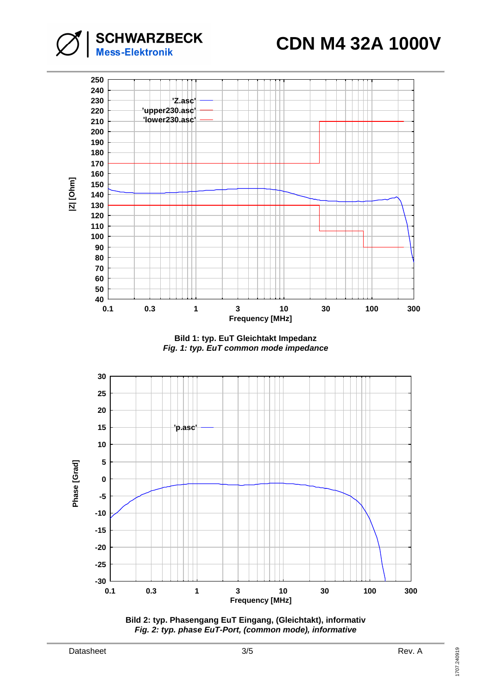**CDN M4 32A 1000V**



**Bild 1: typ. EuT Gleichtakt Impedanz Fig. 1: typ. EuT common mode impedance** 



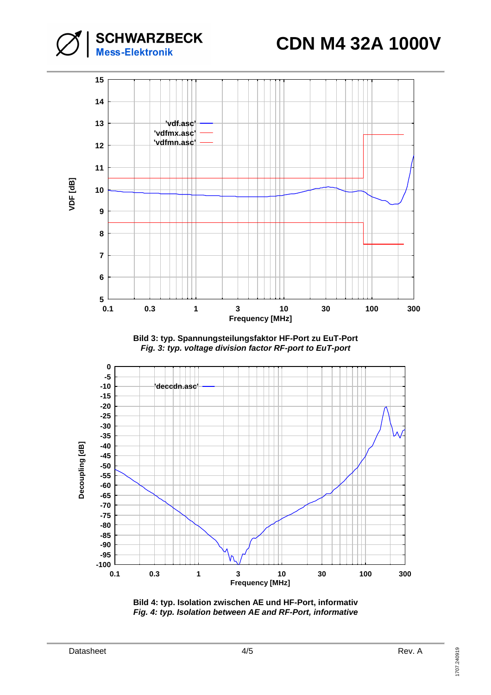**CDN M4 32A 1000V**





**Bild 3: typ. Spannungsteilungsfaktor HF-Port zu EuT-Port Fig. 3: typ. voltage division factor RF-port to EuT-port**